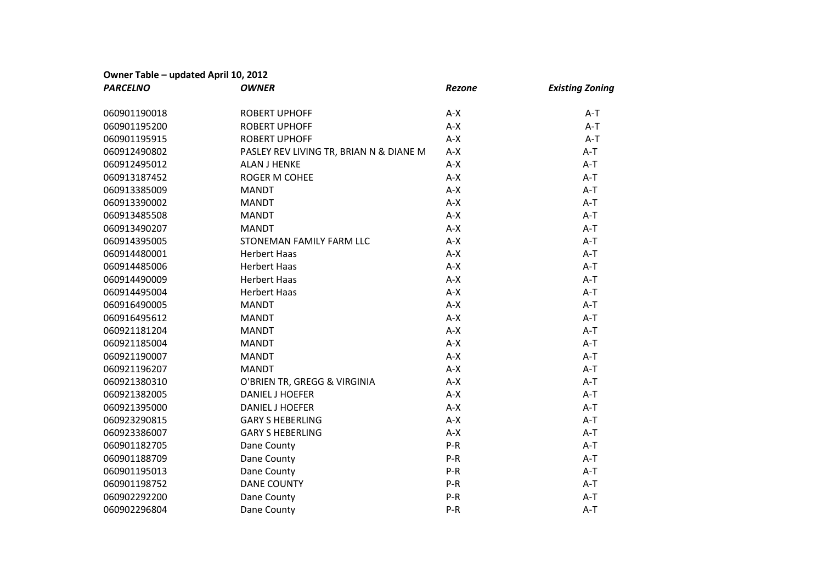## **Owner Table – updated April 10, 2012**

| <b>PARCELNO</b> | <b>OWNER</b>                            | <b>Rezone</b> | <b>Existing Zoning</b> |
|-----------------|-----------------------------------------|---------------|------------------------|
| 060901190018    | <b>ROBERT UPHOFF</b>                    | $A-X$         | $A-T$                  |
| 060901195200    | <b>ROBERT UPHOFF</b>                    | $A-X$         | $A-T$                  |
| 060901195915    | <b>ROBERT UPHOFF</b>                    | $A-X$         | $A-T$                  |
| 060912490802    | PASLEY REV LIVING TR, BRIAN N & DIANE M | $A-X$         | $A-T$                  |
| 060912495012    | <b>ALAN J HENKE</b>                     | $A-X$         | $A-T$                  |
| 060913187452    | <b>ROGER M COHEE</b>                    | $A-X$         | $A-T$                  |
| 060913385009    | <b>MANDT</b>                            | $A-X$         | $A-T$                  |
| 060913390002    | <b>MANDT</b>                            | $A-X$         | $A-T$                  |
| 060913485508    | <b>MANDT</b>                            | $A-X$         | $A-T$                  |
| 060913490207    | <b>MANDT</b>                            | $A-X$         | $A-T$                  |
| 060914395005    | STONEMAN FAMILY FARM LLC                | $A-X$         | $A-T$                  |
| 060914480001    | <b>Herbert Haas</b>                     | $A-X$         | $A-T$                  |
| 060914485006    | <b>Herbert Haas</b>                     | $A-X$         | $A-T$                  |
| 060914490009    | <b>Herbert Haas</b>                     | $A-X$         | $A-T$                  |
| 060914495004    | <b>Herbert Haas</b>                     | $A-X$         | $A-T$                  |
| 060916490005    | <b>MANDT</b>                            | $A-X$         | $A-T$                  |
| 060916495612    | <b>MANDT</b>                            | $A-X$         | $A-T$                  |
| 060921181204    | <b>MANDT</b>                            | $A-X$         | $A-T$                  |
| 060921185004    | <b>MANDT</b>                            | $A-X$         | $A-T$                  |
| 060921190007    | <b>MANDT</b>                            | $A-X$         | $A-T$                  |
| 060921196207    | <b>MANDT</b>                            | $A-X$         | $A-T$                  |
| 060921380310    | O'BRIEN TR, GREGG & VIRGINIA            | $A-X$         | $A-T$                  |
| 060921382005    | <b>DANIEL J HOEFER</b>                  | $A-X$         | $A-T$                  |
| 060921395000    | <b>DANIEL J HOEFER</b>                  | $A-X$         | $A-T$                  |
| 060923290815    | <b>GARY S HEBERLING</b>                 | $A-X$         | $A-T$                  |
| 060923386007    | <b>GARY S HEBERLING</b>                 | $A-X$         | $A-T$                  |
| 060901182705    | Dane County                             | $P-R$         | $A-T$                  |
| 060901188709    | Dane County                             | $P-R$         | $A-T$                  |
| 060901195013    | Dane County                             | P-R           | $A-T$                  |
| 060901198752    | <b>DANE COUNTY</b>                      | $P-R$         | $A-T$                  |
| 060902292200    | Dane County                             | $P-R$         | $A-T$                  |
| 060902296804    | Dane County                             | $P-R$         | $A-T$                  |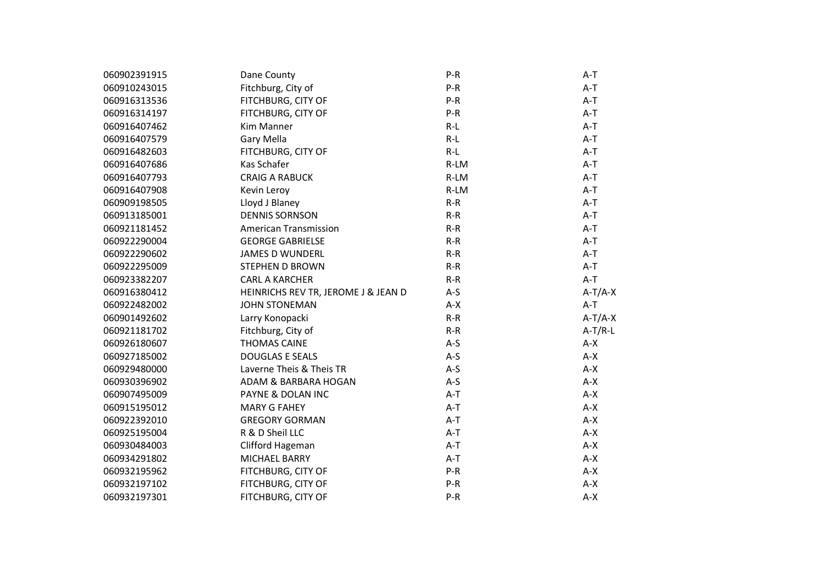| 060902391915 | Dane County                         | $P-R$ | $A-T$     |
|--------------|-------------------------------------|-------|-----------|
| 060910243015 | Fitchburg, City of                  | $P-R$ | $A-T$     |
| 060916313536 | FITCHBURG, CITY OF                  | $P-R$ | $A-T$     |
| 060916314197 | FITCHBURG, CITY OF                  | $P-R$ | $A-T$     |
| 060916407462 | Kim Manner                          | $R-L$ | $A-T$     |
| 060916407579 | Gary Mella                          | $R-L$ | $A-T$     |
| 060916482603 | FITCHBURG, CITY OF                  | $R-L$ | $A-T$     |
| 060916407686 | Kas Schafer                         | R-LM  | $A-T$     |
| 060916407793 | <b>CRAIG A RABUCK</b>               | R-LM  | $A-T$     |
| 060916407908 | Kevin Leroy                         | R-LM  | A-T       |
| 060909198505 | Lloyd J Blaney                      | $R-R$ | $A-T$     |
| 060913185001 | <b>DENNIS SORNSON</b>               | $R-R$ | $A-T$     |
| 060921181452 | American Transmission               | $R-R$ | $A-T$     |
| 060922290004 | <b>GEORGE GABRIELSE</b>             | $R-R$ | $A-T$     |
| 060922290602 | <b>JAMES D WUNDERL</b>              | $R-R$ | $A-T$     |
| 060922295009 | <b>STEPHEN D BROWN</b>              | $R-R$ | $A-T$     |
| 060923382207 | <b>CARL A KARCHER</b>               | $R-R$ | $A-T$     |
| 060916380412 | HEINRICHS REV TR, JEROME J & JEAN D | $A-S$ | $A-T/A-X$ |
| 060922482002 | <b>JOHN STONEMAN</b>                | $A-X$ | $A-T$     |
| 060901492602 | Larry Konopacki                     | $R-R$ | $A-T/A-X$ |
| 060921181702 | Fitchburg, City of                  | $R-R$ | $A-T/R-L$ |
| 060926180607 | <b>THOMAS CAINE</b>                 | $A-S$ | $A-X$     |
| 060927185002 | <b>DOUGLAS E SEALS</b>              | $A-S$ | $A-X$     |
| 060929480000 | Laverne Theis & Theis TR            | $A-S$ | $A-X$     |
| 060930396902 | ADAM & BARBARA HOGAN                | $A-S$ | $A-X$     |
| 060907495009 | PAYNE & DOLAN INC                   | $A-T$ | $A-X$     |
| 060915195012 | <b>MARY G FAHEY</b>                 | $A-T$ | A-X       |
| 060922392010 | <b>GREGORY GORMAN</b>               | $A-T$ | $A-X$     |
| 060925195004 | R & D Sheil LLC                     | $A-T$ | A-X       |
| 060930484003 | Clifford Hageman                    | $A-T$ | $A-X$     |
| 060934291802 | MICHAEL BARRY                       | $A-T$ | $A-X$     |
| 060932195962 | FITCHBURG, CITY OF                  | $P-R$ | $A-X$     |
| 060932197102 | FITCHBURG, CITY OF                  | $P-R$ | $A-X$     |
| 060932197301 | FITCHBURG, CITY OF                  | P-R   | $A-X$     |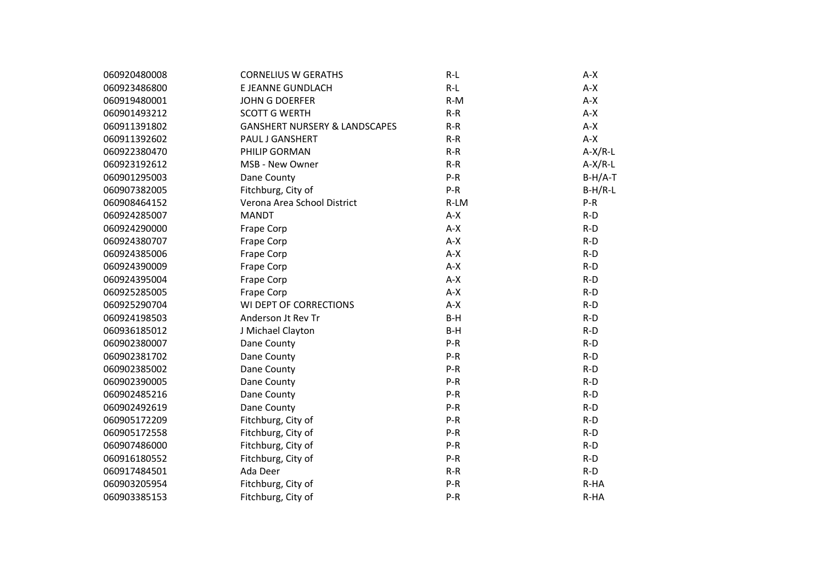| 060920480008 | <b>CORNELIUS W GERATHS</b>               | $R-L$ | $A-X$     |
|--------------|------------------------------------------|-------|-----------|
| 060923486800 | E JEANNE GUNDLACH                        | $R-L$ | $A-X$     |
| 060919480001 | <b>JOHN G DOERFER</b>                    | $R-M$ | $A-X$     |
| 060901493212 | <b>SCOTT G WERTH</b>                     | $R-R$ | $A-X$     |
| 060911391802 | <b>GANSHERT NURSERY &amp; LANDSCAPES</b> | $R-R$ | $A-X$     |
| 060911392602 | <b>PAUL J GANSHERT</b>                   | $R-R$ | $A-X$     |
| 060922380470 | PHILIP GORMAN                            | $R-R$ | $A-X/R-L$ |
| 060923192612 | MSB - New Owner                          | $R-R$ | $A-X/R-L$ |
| 060901295003 | Dane County                              | $P-R$ | $B-H/A-T$ |
| 060907382005 | Fitchburg, City of                       | $P-R$ | $B-H/R-L$ |
| 060908464152 | Verona Area School District              | R-LM  | $P-R$     |
| 060924285007 | <b>MANDT</b>                             | $A-X$ | $R-D$     |
| 060924290000 | Frape Corp                               | $A-X$ | $R-D$     |
| 060924380707 | Frape Corp                               | $A-X$ | $R-D$     |
| 060924385006 | Frape Corp                               | $A-X$ | $R-D$     |
| 060924390009 | Frape Corp                               | $A-X$ | $R-D$     |
| 060924395004 | Frape Corp                               | $A-X$ | $R-D$     |
| 060925285005 | Frape Corp                               | $A-X$ | $R-D$     |
| 060925290704 | WI DEPT OF CORRECTIONS                   | $A-X$ | $R-D$     |
| 060924198503 | Anderson Jt Rev Tr                       | $B-H$ | $R-D$     |
| 060936185012 | J Michael Clayton                        | $B-H$ | $R-D$     |
| 060902380007 | Dane County                              | $P-R$ | $R-D$     |
| 060902381702 | Dane County                              | $P-R$ | $R-D$     |
| 060902385002 | Dane County                              | $P-R$ | $R-D$     |
| 060902390005 | Dane County                              | $P-R$ | $R-D$     |
| 060902485216 | Dane County                              | $P-R$ | $R-D$     |
| 060902492619 | Dane County                              | $P-R$ | $R-D$     |
| 060905172209 | Fitchburg, City of                       | $P-R$ | $R-D$     |
| 060905172558 | Fitchburg, City of                       | $P-R$ | $R-D$     |
| 060907486000 | Fitchburg, City of                       | $P-R$ | $R-D$     |
| 060916180552 | Fitchburg, City of                       | $P-R$ | $R-D$     |
| 060917484501 | Ada Deer                                 | $R-R$ | $R-D$     |
| 060903205954 | Fitchburg, City of                       | $P-R$ | R-HA      |
| 060903385153 | Fitchburg, City of                       | $P-R$ | R-HA      |